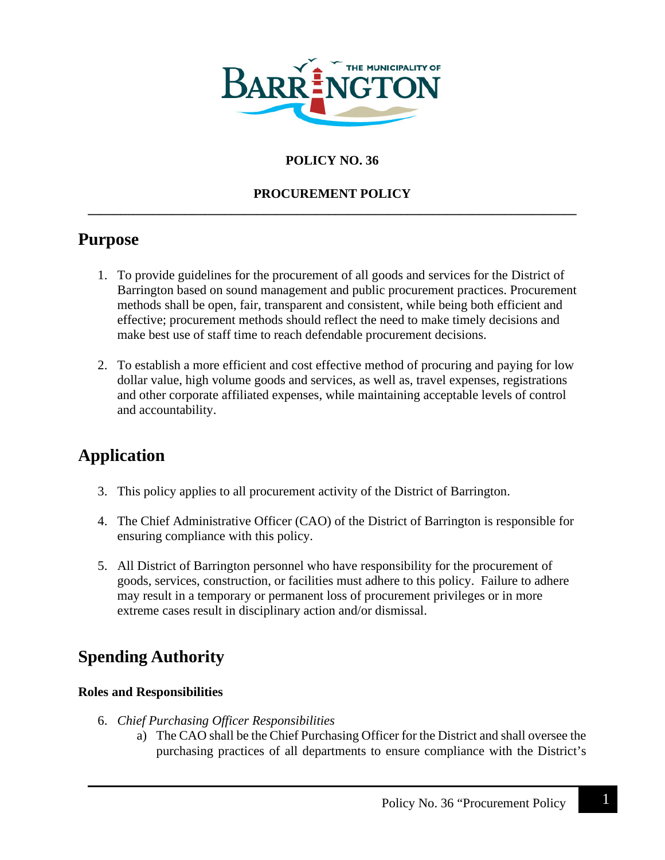

## **POLICY NO. 36**

#### **PROCUREMENT POLICY \_\_\_\_\_\_\_\_\_\_\_\_\_\_\_\_\_\_\_\_\_\_\_\_\_\_\_\_\_\_\_\_\_\_\_\_\_\_\_\_\_\_\_\_\_\_\_\_\_\_\_\_\_\_\_\_\_\_\_\_\_\_\_\_\_\_\_\_\_\_\_\_\_\_\_**

## **Purpose**

- 1. To provide guidelines for the procurement of all goods and services for the District of Barrington based on sound management and public procurement practices. Procurement methods shall be open, fair, transparent and consistent, while being both efficient and effective; procurement methods should reflect the need to make timely decisions and make best use of staff time to reach defendable procurement decisions.
- 2. To establish a more efficient and cost effective method of procuring and paying for low dollar value, high volume goods and services, as well as, travel expenses, registrations and other corporate affiliated expenses, while maintaining acceptable levels of control and accountability.

## **Application**

- 3. This policy applies to all procurement activity of the District of Barrington.
- 4. The Chief Administrative Officer (CAO) of the District of Barrington is responsible for ensuring compliance with this policy.
- 5. All District of Barrington personnel who have responsibility for the procurement of goods, services, construction, or facilities must adhere to this policy. Failure to adhere may result in a temporary or permanent loss of procurement privileges or in more extreme cases result in disciplinary action and/or dismissal.

## **Spending Authority**

#### **Roles and Responsibilities**

- 6. *Chief Purchasing Officer Responsibilities*
	- a) The CAO shall be the Chief Purchasing Officer for the District and shall oversee the purchasing practices of all departments to ensure compliance with the District's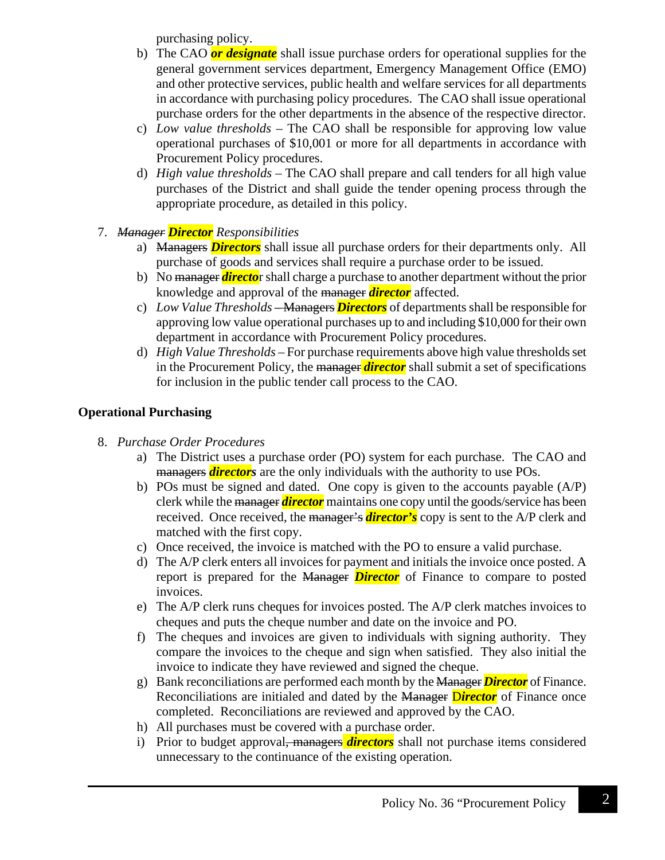purchasing policy.

- b) The CAO *or designate* shall issue purchase orders for operational supplies for the general government services department, Emergency Management Office (EMO) and other protective services, public health and welfare services for all departments in accordance with purchasing policy procedures. The CAO shall issue operational purchase orders for the other departments in the absence of the respective director.
- c) *Low value thresholds* The CAO shall be responsible for approving low value operational purchases of \$10,001 or more for all departments in accordance with Procurement Policy procedures.
- d) *High value thresholds* The CAO shall prepare and call tenders for all high value purchases of the District and shall guide the tender opening process through the appropriate procedure, as detailed in this policy.
- 7. *Manager Director Responsibilities*
	- a) Managers *Directors* shall issue all purchase orders for their departments only. All purchase of goods and services shall require a purchase order to be issued.
	- b) No manager *directo*r shall charge a purchase to another department without the prior knowledge and approval of the manager *director* affected.
	- c) *Low Value Thresholds –* Managers *Directors* of departments shall be responsible for approving low value operational purchases up to and including \$10,000 for their own department in accordance with Procurement Policy procedures.
	- d) *High Value Thresholds –* For purchase requirements above high value thresholds set in the Procurement Policy, the manager *director* shall submit a set of specifications for inclusion in the public tender call process to the CAO.

## **Operational Purchasing**

- 8. *Purchase Order Procedures*
	- a) The District uses a purchase order (PO) system for each purchase. The CAO and managers *directors* are the only individuals with the authority to use POs.
	- b) POs must be signed and dated. One copy is given to the accounts payable (A/P) clerk while the manager *director* maintains one copy until the goods/service has been received. Once received, the manager's *director's* copy is sent to the A/P clerk and matched with the first copy.
	- c) Once received, the invoice is matched with the PO to ensure a valid purchase.
	- d) The A/P clerk enters all invoices for payment and initials the invoice once posted. A report is prepared for the Manager *Director* of Finance to compare to posted invoices.
	- e) The A/P clerk runs cheques for invoices posted. The A/P clerk matches invoices to cheques and puts the cheque number and date on the invoice and PO.
	- f) The cheques and invoices are given to individuals with signing authority. They compare the invoices to the cheque and sign when satisfied. They also initial the invoice to indicate they have reviewed and signed the cheque.
	- g) Bank reconciliations are performed each month by the Manager *Director* of Finance. Reconciliations are initialed and dated by the Manager D*irector* of Finance once completed. Reconciliations are reviewed and approved by the CAO.
	- h) All purchases must be covered with a purchase order.
	- i) Prior to budget approval, managers *directors* shall not purchase items considered unnecessary to the continuance of the existing operation.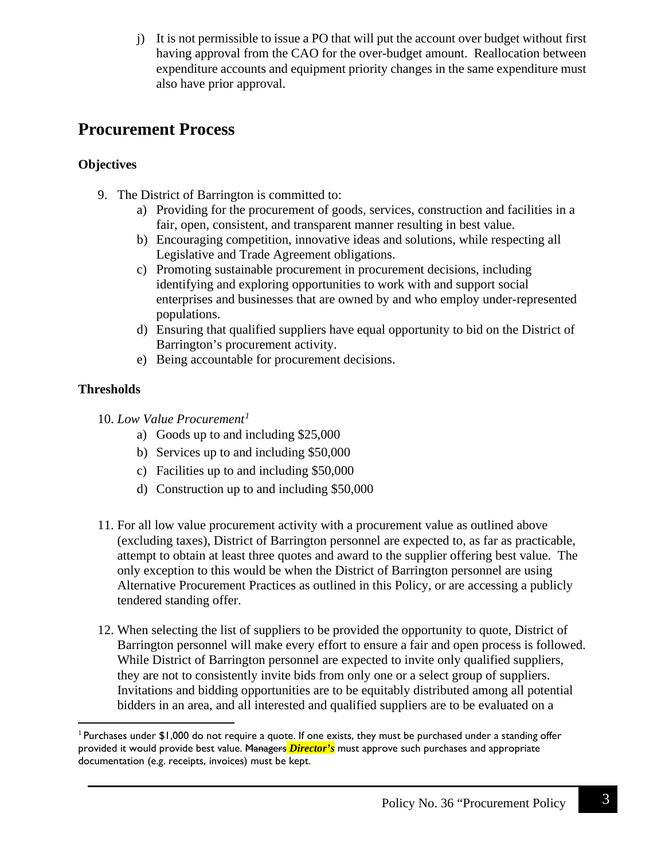j) It is not permissible to issue a PO that will put the account over budget without first having approval from the CAO for the over-budget amount. Reallocation between expenditure accounts and equipment priority changes in the same expenditure must also have prior approval.

## **Procurement Process**

## **Objectives**

- 9. The District of Barrington is committed to:
	- a) Providing for the procurement of goods, services, construction and facilities in a fair, open, consistent, and transparent manner resulting in best value.
	- b) Encouraging competition, innovative ideas and solutions, while respecting all Legislative and Trade Agreement obligations.
	- c) Promoting sustainable procurement in procurement decisions, including identifying and exploring opportunities to work with and support social enterprises and businesses that are owned by and who employ under-represented populations.
	- d) Ensuring that qualified suppliers have equal opportunity to bid on the District of Barrington's procurement activity.
	- e) Being accountable for procurement decisions.

## **Thresholds**

- 10. *Low Value Procurement[1](#page-2-0)*
	- a) Goods up to and including \$25,000
	- b) Services up to and including \$50,000
	- c) Facilities up to and including \$50,000
	- d) Construction up to and including \$50,000
- 11. For all low value procurement activity with a procurement value as outlined above (excluding taxes), District of Barrington personnel are expected to, as far as practicable, attempt to obtain at least three quotes and award to the supplier offering best value. The only exception to this would be when the District of Barrington personnel are using Alternative Procurement Practices as outlined in this Policy, or are accessing a publicly tendered standing offer.
- 12. When selecting the list of suppliers to be provided the opportunity to quote, District of Barrington personnel will make every effort to ensure a fair and open process is followed. While District of Barrington personnel are expected to invite only qualified suppliers, they are not to consistently invite bids from only one or a select group of suppliers. Invitations and bidding opportunities are to be equitably distributed among all potential bidders in an area, and all interested and qualified suppliers are to be evaluated on a

<span id="page-2-0"></span><sup>&</sup>lt;sup>1</sup> Purchases under \$1,000 do not require a quote. If one exists, they must be purchased under a standing offer provided it would provide best value. Managers *Director's* must approve such purchases and appropriate documentation (e.g. receipts, invoices) must be kept.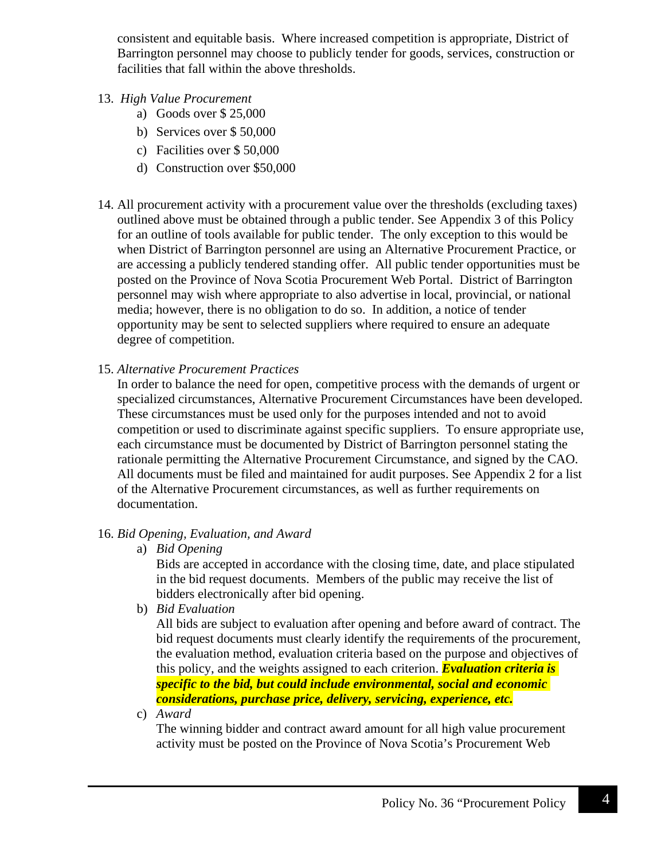consistent and equitable basis. Where increased competition is appropriate, District of Barrington personnel may choose to publicly tender for goods, services, construction or facilities that fall within the above thresholds.

- 13. *High Value Procurement*
	- a) Goods over \$ 25,000
	- b) Services over \$ 50,000
	- c) Facilities over \$ 50,000
	- d) Construction over \$50,000
- 14. All procurement activity with a procurement value over the thresholds (excluding taxes) outlined above must be obtained through a public tender. See Appendix 3 of this Policy for an outline of tools available for public tender. The only exception to this would be when District of Barrington personnel are using an Alternative Procurement Practice, or are accessing a publicly tendered standing offer. All public tender opportunities must be posted on the Province of Nova Scotia Procurement Web Portal. District of Barrington personnel may wish where appropriate to also advertise in local, provincial, or national media; however, there is no obligation to do so. In addition, a notice of tender opportunity may be sent to selected suppliers where required to ensure an adequate degree of competition.
- 15. *Alternative Procurement Practices*

In order to balance the need for open, competitive process with the demands of urgent or specialized circumstances, Alternative Procurement Circumstances have been developed. These circumstances must be used only for the purposes intended and not to avoid competition or used to discriminate against specific suppliers. To ensure appropriate use, each circumstance must be documented by District of Barrington personnel stating the rationale permitting the Alternative Procurement Circumstance, and signed by the CAO. All documents must be filed and maintained for audit purposes. See Appendix 2 for a list of the Alternative Procurement circumstances, as well as further requirements on documentation.

## 16. *Bid Opening, Evaluation, and Award*

a) *Bid Opening*

Bids are accepted in accordance with the closing time, date, and place stipulated in the bid request documents. Members of the public may receive the list of bidders electronically after bid opening.

b) *Bid Evaluation*

All bids are subject to evaluation after opening and before award of contract. The bid request documents must clearly identify the requirements of the procurement, the evaluation method, evaluation criteria based on the purpose and objectives of this policy, and the weights assigned to each criterion. *Evaluation criteria is specific to the bid, but could include environmental, social and economic considerations, purchase price, delivery, servicing, experience, etc.*

c) *Award*

The winning bidder and contract award amount for all high value procurement activity must be posted on the Province of Nova Scotia's Procurement Web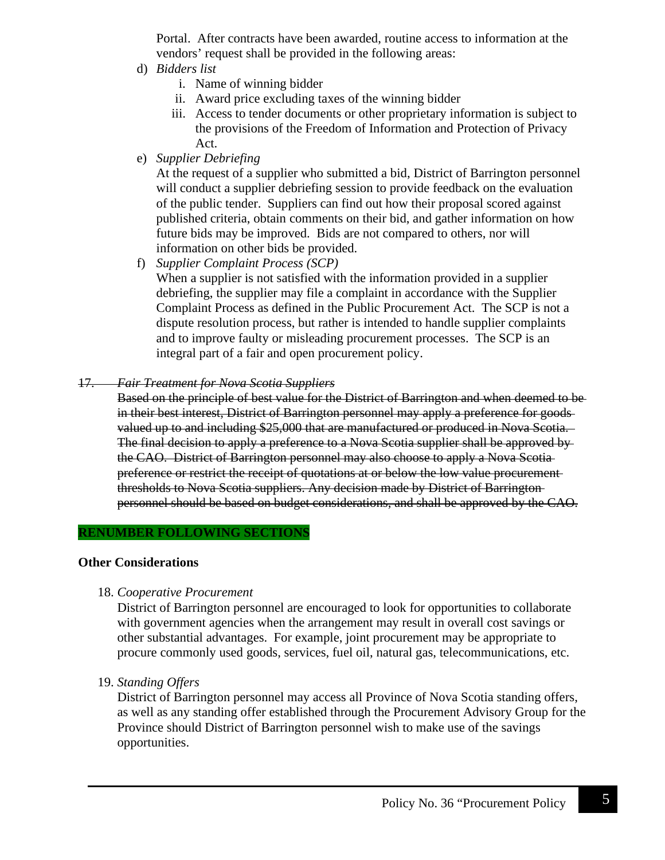Portal. After contracts have been awarded, routine access to information at the vendors' request shall be provided in the following areas:

- d) *Bidders list*
	- i. Name of winning bidder
	- ii. Award price excluding taxes of the winning bidder
	- iii. Access to tender documents or other proprietary information is subject to the provisions of the Freedom of Information and Protection of Privacy Act.
- e) *Supplier Debriefing*

At the request of a supplier who submitted a bid, District of Barrington personnel will conduct a supplier debriefing session to provide feedback on the evaluation of the public tender. Suppliers can find out how their proposal scored against published criteria, obtain comments on their bid, and gather information on how future bids may be improved. Bids are not compared to others, nor will information on other bids be provided.

f) *Supplier Complaint Process (SCP)*

When a supplier is not satisfied with the information provided in a supplier debriefing, the supplier may file a complaint in accordance with the Supplier Complaint Process as defined in the Public Procurement Act. The SCP is not a dispute resolution process, but rather is intended to handle supplier complaints and to improve faulty or misleading procurement processes. The SCP is an integral part of a fair and open procurement policy.

- 17. *Fair Treatment for Nova Scotia Suppliers*
	- Based on the principle of best value for the District of Barrington and when deemed to be in their best interest, District of Barrington personnel may apply a preference for goods valued up to and including \$25,000 that are manufactured or produced in Nova Scotia. The final decision to apply a preference to a Nova Scotia supplier shall be approved by the CAO. District of Barrington personnel may also choose to apply a Nova Scotia preference or restrict the receipt of quotations at or below the low value procurement thresholds to Nova Scotia suppliers. Any decision made by District of Barrington personnel should be based on budget considerations, and shall be approved by the CAO.

#### **RENUMBER FOLLOWING SECTIONS**

#### **Other Considerations**

18. *Cooperative Procurement*

District of Barrington personnel are encouraged to look for opportunities to collaborate with government agencies when the arrangement may result in overall cost savings or other substantial advantages. For example, joint procurement may be appropriate to procure commonly used goods, services, fuel oil, natural gas, telecommunications, etc.

19. *Standing Offers*

District of Barrington personnel may access all Province of Nova Scotia standing offers, as well as any standing offer established through the Procurement Advisory Group for the Province should District of Barrington personnel wish to make use of the savings opportunities.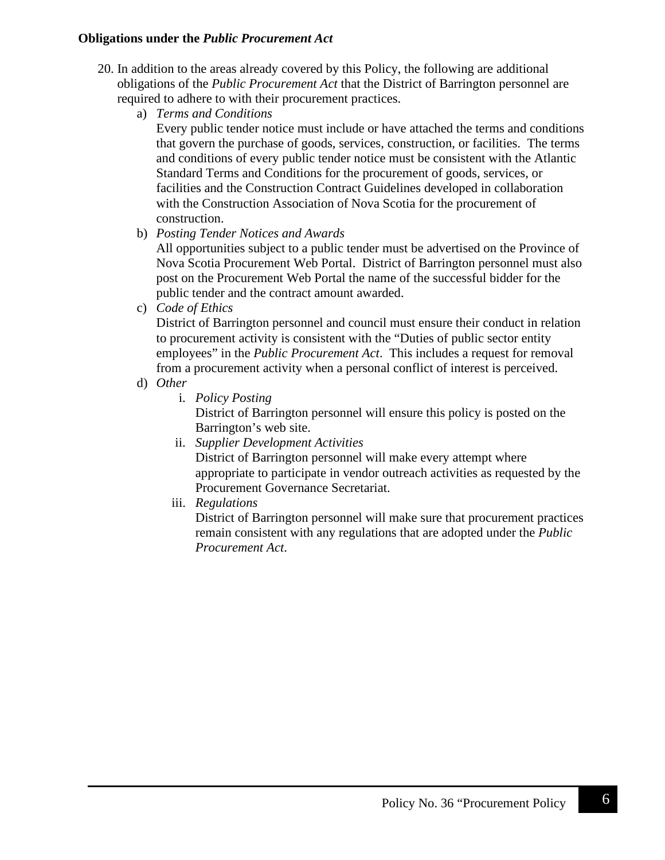#### **Obligations under the** *Public Procurement Act*

- 20. In addition to the areas already covered by this Policy, the following are additional obligations of the *Public Procurement Act* that the District of Barrington personnel are required to adhere to with their procurement practices.
	- a) *Terms and Conditions*

Every public tender notice must include or have attached the terms and conditions that govern the purchase of goods, services, construction, or facilities. The terms and conditions of every public tender notice must be consistent with the Atlantic Standard Terms and Conditions for the procurement of goods, services, or facilities and the Construction Contract Guidelines developed in collaboration with the Construction Association of Nova Scotia for the procurement of construction.

b) *Posting Tender Notices and Awards*

All opportunities subject to a public tender must be advertised on the Province of Nova Scotia Procurement Web Portal. District of Barrington personnel must also post on the Procurement Web Portal the name of the successful bidder for the public tender and the contract amount awarded.

c) *Code of Ethics*

District of Barrington personnel and council must ensure their conduct in relation to procurement activity is consistent with the "Duties of public sector entity employees" in the *Public Procurement Act*. This includes a request for removal from a procurement activity when a personal conflict of interest is perceived.

- d) *Other*
	- i. *Policy Posting*

District of Barrington personnel will ensure this policy is posted on the Barrington's web site.

- ii. *Supplier Development Activities* District of Barrington personnel will make every attempt where appropriate to participate in vendor outreach activities as requested by the Procurement Governance Secretariat.
- iii. *Regulations*

District of Barrington personnel will make sure that procurement practices remain consistent with any regulations that are adopted under the *Public Procurement Act*.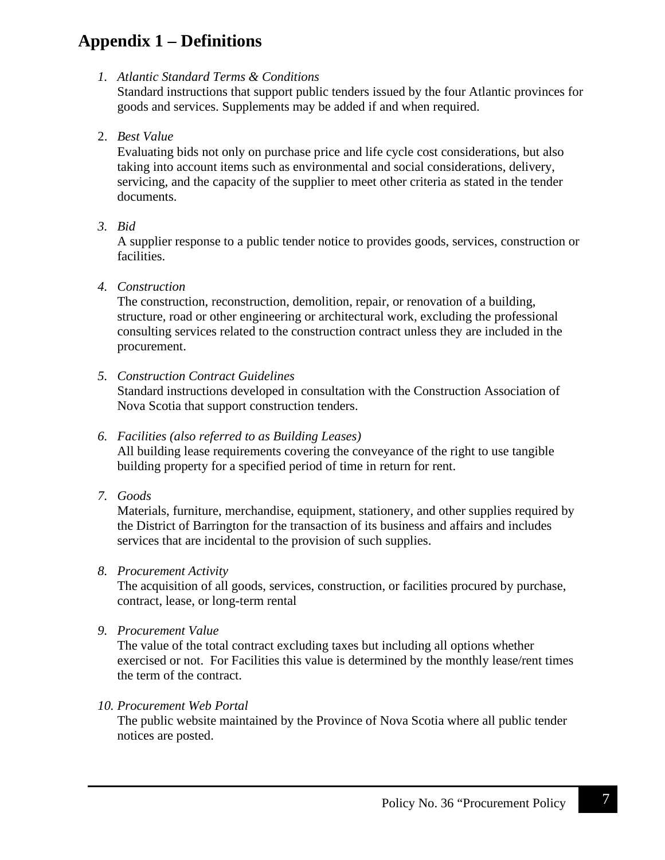## **Appendix 1 – Definitions**

*1. Atlantic Standard Terms & Conditions*

Standard instructions that support public tenders issued by the four Atlantic provinces for goods and services. Supplements may be added if and when required.

2. *Best Value*

Evaluating bids not only on purchase price and life cycle cost considerations, but also taking into account items such as environmental and social considerations, delivery, servicing, and the capacity of the supplier to meet other criteria as stated in the tender documents.

*3. Bid*

A supplier response to a public tender notice to provides goods, services, construction or facilities.

## *4. Construction*

The construction, reconstruction, demolition, repair, or renovation of a building, structure, road or other engineering or architectural work, excluding the professional consulting services related to the construction contract unless they are included in the procurement.

*5. Construction Contract Guidelines*

Standard instructions developed in consultation with the Construction Association of Nova Scotia that support construction tenders.

### *6. Facilities (also referred to as Building Leases)*

All building lease requirements covering the conveyance of the right to use tangible building property for a specified period of time in return for rent.

*7. Goods*

Materials, furniture, merchandise, equipment, stationery, and other supplies required by the District of Barrington for the transaction of its business and affairs and includes services that are incidental to the provision of such supplies.

## *8. Procurement Activity*

The acquisition of all goods, services, construction, or facilities procured by purchase, contract, lease, or long-term rental

*9. Procurement Value*

The value of the total contract excluding taxes but including all options whether exercised or not. For Facilities this value is determined by the monthly lease/rent times the term of the contract.

#### *10. Procurement Web Portal*

The public website maintained by the Province of Nova Scotia where all public tender notices are posted.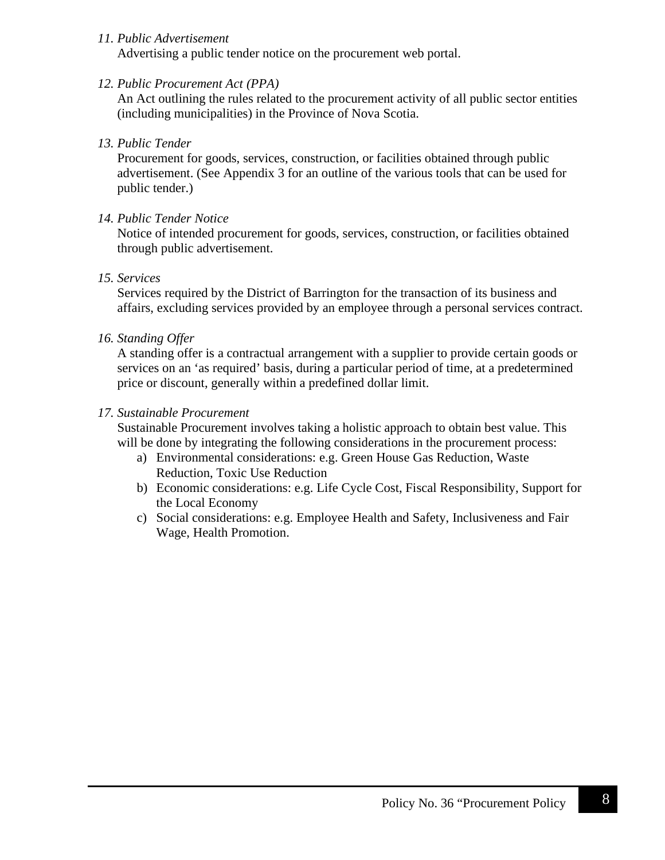#### *11. Public Advertisement*

Advertising a public tender notice on the procurement web portal.

#### *12. Public Procurement Act (PPA)*

An Act outlining the rules related to the procurement activity of all public sector entities (including municipalities) in the Province of Nova Scotia.

#### *13. Public Tender*

Procurement for goods, services, construction, or facilities obtained through public advertisement. (See Appendix 3 for an outline of the various tools that can be used for public tender.)

#### *14. Public Tender Notice*

Notice of intended procurement for goods, services, construction, or facilities obtained through public advertisement.

#### *15. Services*

Services required by the District of Barrington for the transaction of its business and affairs, excluding services provided by an employee through a personal services contract.

#### *16. Standing Offer*

A standing offer is a contractual arrangement with a supplier to provide certain goods or services on an 'as required' basis, during a particular period of time, at a predetermined price or discount, generally within a predefined dollar limit.

#### *17. Sustainable Procurement*

Sustainable Procurement involves taking a holistic approach to obtain best value. This will be done by integrating the following considerations in the procurement process:

- a) Environmental considerations: e.g. Green House Gas Reduction, Waste Reduction, Toxic Use Reduction
- b) Economic considerations: e.g. Life Cycle Cost, Fiscal Responsibility, Support for the Local Economy
- c) Social considerations: e.g. Employee Health and Safety, Inclusiveness and Fair Wage, Health Promotion.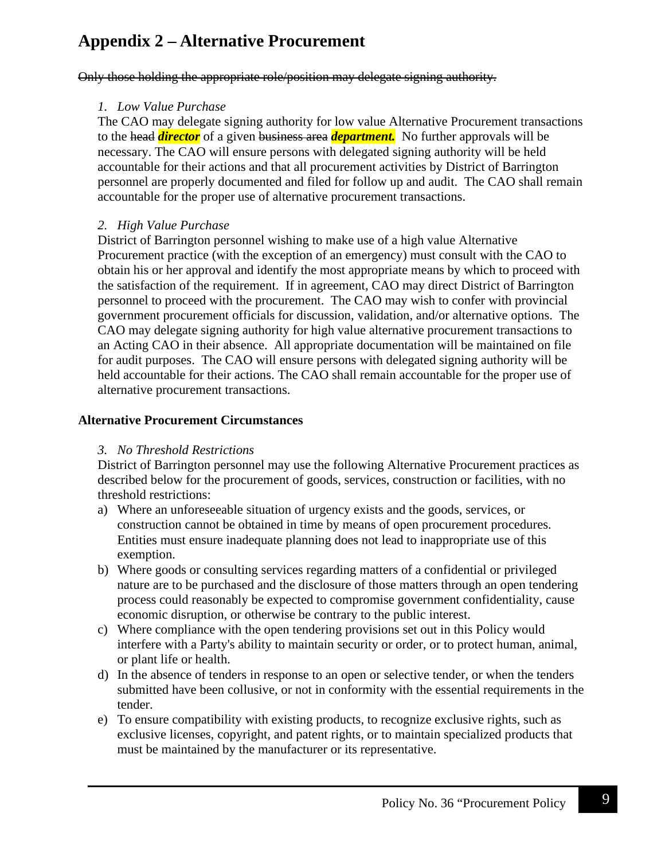## **Appendix 2 – Alternative Procurement**

Only those holding the appropriate role/position may delegate signing authority.

### *1. Low Value Purchase*

The CAO may delegate signing authority for low value Alternative Procurement transactions to the head *director* of a given business area *department.* No further approvals will be necessary. The CAO will ensure persons with delegated signing authority will be held accountable for their actions and that all procurement activities by District of Barrington personnel are properly documented and filed for follow up and audit. The CAO shall remain accountable for the proper use of alternative procurement transactions.

### *2. High Value Purchase*

District of Barrington personnel wishing to make use of a high value Alternative Procurement practice (with the exception of an emergency) must consult with the CAO to obtain his or her approval and identify the most appropriate means by which to proceed with the satisfaction of the requirement. If in agreement, CAO may direct District of Barrington personnel to proceed with the procurement. The CAO may wish to confer with provincial government procurement officials for discussion, validation, and/or alternative options. The CAO may delegate signing authority for high value alternative procurement transactions to an Acting CAO in their absence. All appropriate documentation will be maintained on file for audit purposes. The CAO will ensure persons with delegated signing authority will be held accountable for their actions. The CAO shall remain accountable for the proper use of alternative procurement transactions.

### **Alternative Procurement Circumstances**

#### *3. No Threshold Restrictions*

District of Barrington personnel may use the following Alternative Procurement practices as described below for the procurement of goods, services, construction or facilities, with no threshold restrictions:

- a) Where an unforeseeable situation of urgency exists and the goods, services, or construction cannot be obtained in time by means of open procurement procedures. Entities must ensure inadequate planning does not lead to inappropriate use of this exemption.
- b) Where goods or consulting services regarding matters of a confidential or privileged nature are to be purchased and the disclosure of those matters through an open tendering process could reasonably be expected to compromise government confidentiality, cause economic disruption, or otherwise be contrary to the public interest.
- c) Where compliance with the open tendering provisions set out in this Policy would interfere with a Party's ability to maintain security or order, or to protect human, animal, or plant life or health.
- d) In the absence of tenders in response to an open or selective tender, or when the tenders submitted have been collusive, or not in conformity with the essential requirements in the tender.
- e) To ensure compatibility with existing products, to recognize exclusive rights, such as exclusive licenses, copyright, and patent rights, or to maintain specialized products that must be maintained by the manufacturer or its representative.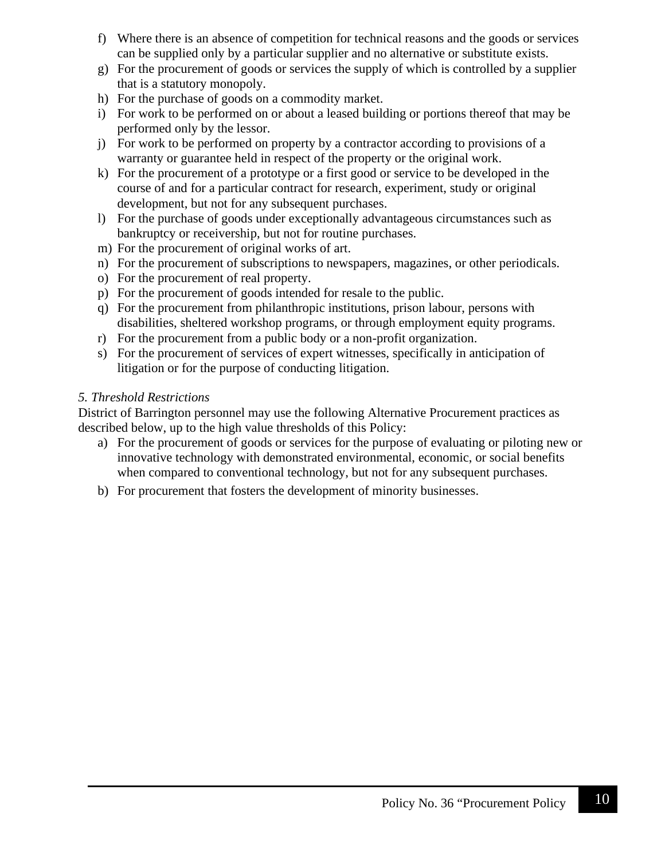- f) Where there is an absence of competition for technical reasons and the goods or services can be supplied only by a particular supplier and no alternative or substitute exists.
- g) For the procurement of goods or services the supply of which is controlled by a supplier that is a statutory monopoly.
- h) For the purchase of goods on a commodity market.
- i) For work to be performed on or about a leased building or portions thereof that may be performed only by the lessor.
- j) For work to be performed on property by a contractor according to provisions of a warranty or guarantee held in respect of the property or the original work.
- k) For the procurement of a prototype or a first good or service to be developed in the course of and for a particular contract for research, experiment, study or original development, but not for any subsequent purchases.
- l) For the purchase of goods under exceptionally advantageous circumstances such as bankruptcy or receivership, but not for routine purchases.
- m) For the procurement of original works of art.
- n) For the procurement of subscriptions to newspapers, magazines, or other periodicals.
- o) For the procurement of real property.
- p) For the procurement of goods intended for resale to the public.
- q) For the procurement from philanthropic institutions, prison labour, persons with disabilities, sheltered workshop programs, or through employment equity programs.
- r) For the procurement from a public body or a non-profit organization.
- s) For the procurement of services of expert witnesses, specifically in anticipation of litigation or for the purpose of conducting litigation.

### *5. Threshold Restrictions*

District of Barrington personnel may use the following Alternative Procurement practices as described below, up to the high value thresholds of this Policy:

- a) For the procurement of goods or services for the purpose of evaluating or piloting new or innovative technology with demonstrated environmental, economic, or social benefits when compared to conventional technology, but not for any subsequent purchases.
- b) For procurement that fosters the development of minority businesses.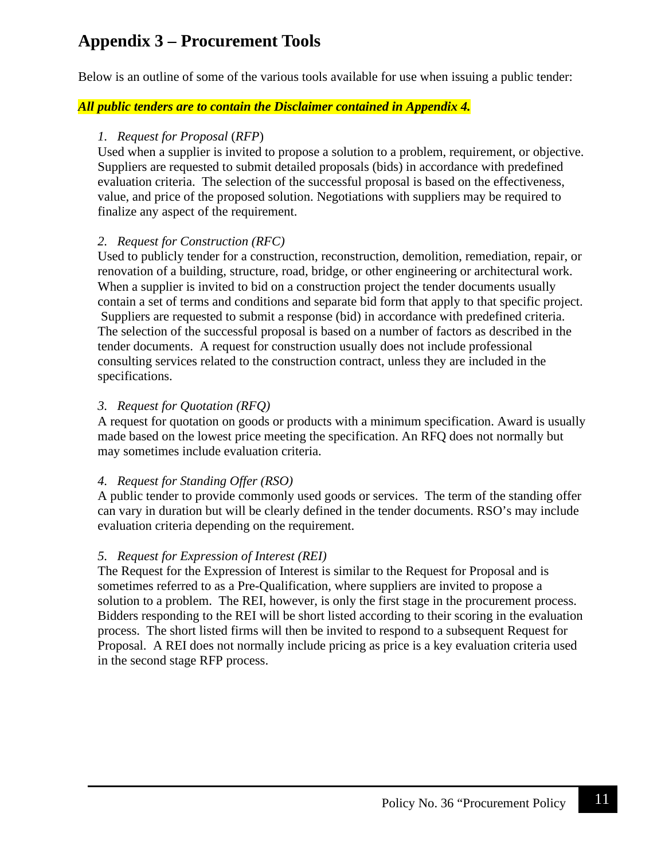## **Appendix 3 – Procurement Tools**

Below is an outline of some of the various tools available for use when issuing a public tender:

### *All public tenders are to contain the Disclaimer contained in Appendix 4.*

#### *1. Request for Proposal* (*RFP*)

Used when a supplier is invited to propose a solution to a problem, requirement, or objective. Suppliers are requested to submit detailed proposals (bids) in accordance with predefined evaluation criteria. The selection of the successful proposal is based on the effectiveness, value, and price of the proposed solution. Negotiations with suppliers may be required to finalize any aspect of the requirement.

#### *2. Request for Construction (RFC)*

Used to publicly tender for a construction, reconstruction, demolition, remediation, repair, or renovation of a building, structure, road, bridge, or other engineering or architectural work. When a supplier is invited to bid on a construction project the tender documents usually contain a set of terms and conditions and separate bid form that apply to that specific project. Suppliers are requested to submit a response (bid) in accordance with predefined criteria. The selection of the successful proposal is based on a number of factors as described in the tender documents. A request for construction usually does not include professional consulting services related to the construction contract, unless they are included in the specifications.

### *3. Request for Quotation (RFQ)*

A request for quotation on goods or products with a minimum specification. Award is usually made based on the lowest price meeting the specification. An RFQ does not normally but may sometimes include evaluation criteria.

## *4. Request for Standing Offer (RSO)*

A public tender to provide commonly used goods or services. The term of the standing offer can vary in duration but will be clearly defined in the tender documents. RSO's may include evaluation criteria depending on the requirement.

## *5. Request for Expression of Interest (REI)*

The Request for the Expression of Interest is similar to the Request for Proposal and is sometimes referred to as a Pre-Qualification, where suppliers are invited to propose a solution to a problem. The REI, however, is only the first stage in the procurement process. Bidders responding to the REI will be short listed according to their scoring in the evaluation process. The short listed firms will then be invited to respond to a subsequent Request for Proposal. A REI does not normally include pricing as price is a key evaluation criteria used in the second stage RFP process.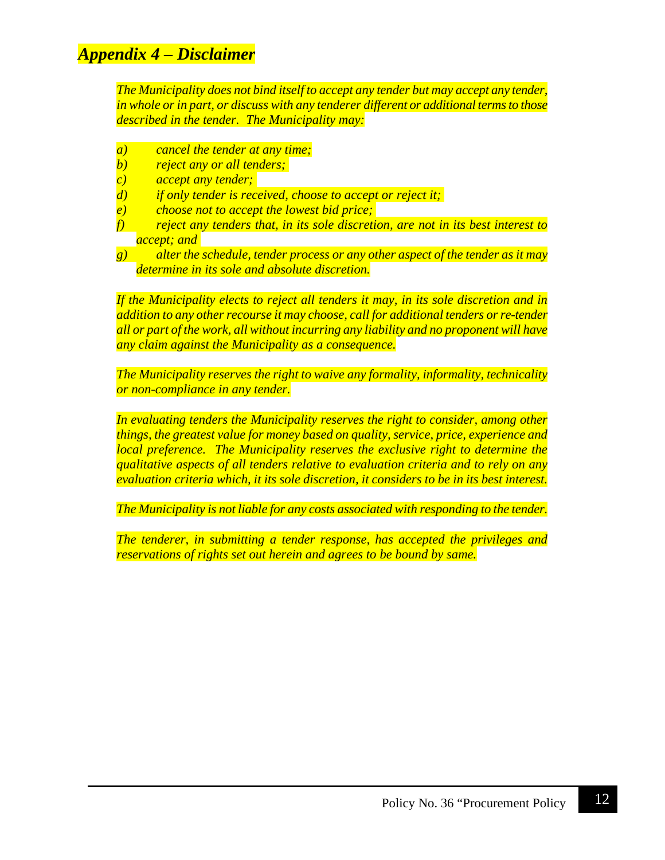## *Appendix 4 – Disclaimer*

*The Municipality does not bind itself to accept any tender but may accept any tender, in whole or in part, or discuss with any tenderer different or additional terms to those described in the tender. The Municipality may:*

- *a) cancel the tender at any time;*
- *b) reject any or all tenders;*
- *c) accept any tender;*
- *d) if only tender is received, choose to accept or reject it;*
- *e) choose not to accept the lowest bid price;*
- *f) reject any tenders that, in its sole discretion, are not in its best interest to accept; and*
- *g) alter the schedule, tender process or any other aspect of the tender as it may determine in its sole and absolute discretion.*

*If the Municipality elects to reject all tenders it may, in its sole discretion and in addition to any other recourse it may choose, call for additional tenders or re-tender all or part of the work, all without incurring any liability and no proponent will have any claim against the Municipality as a consequence.*

*The Municipality reserves the right to waive any formality, informality, technicality or non-compliance in any tender.*

*In evaluating tenders the Municipality reserves the right to consider, among other things, the greatest value for money based on quality, service, price, experience and local preference. The Municipality reserves the exclusive right to determine the qualitative aspects of all tenders relative to evaluation criteria and to rely on any evaluation criteria which, it its sole discretion, it considers to be in its best interest.*

*The Municipality is not liable for any costs associated with responding to the tender.*

*The tenderer, in submitting a tender response, has accepted the privileges and reservations of rights set out herein and agrees to be bound by same.*